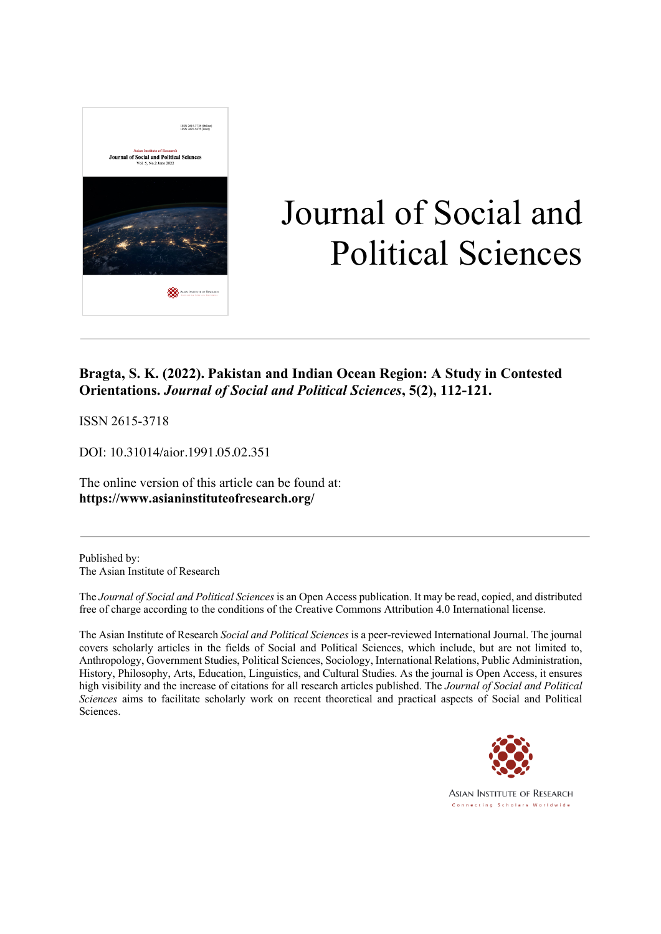

# Journal of Social and Political Sciences

### **Bragta, S. K. (2022). Pakistan and Indian Ocean Region: A Study in Contested Orientations.** *Journal of Social and Political Sciences***, 5(2), 112-121.**

ISSN 2615-3718

DOI: 10.31014/aior.1991.05.02.351

The online version of this article can be found at: **https://www.asianinstituteofresearch.org/**

Published by: The Asian Institute of Research

The *Journal of Social and Political Sciences* is an Open Access publication. It may be read, copied, and distributed free of charge according to the conditions of the Creative Commons Attribution 4.0 International license.

The Asian Institute of Research *Social and Political Sciences* is a peer-reviewed International Journal. The journal covers scholarly articles in the fields of Social and Political Sciences, which include, but are not limited to, Anthropology, Government Studies, Political Sciences, Sociology, International Relations, Public Administration, History, Philosophy, Arts, Education, Linguistics, and Cultural Studies. As the journal is Open Access, it ensures high visibility and the increase of citations for all research articles published. The *Journal of Social and Political Sciences* aims to facilitate scholarly work on recent theoretical and practical aspects of Social and Political Sciences.



**ASIAN INSTITUTE OF RESEARCH** Connecting Scholars Worldwide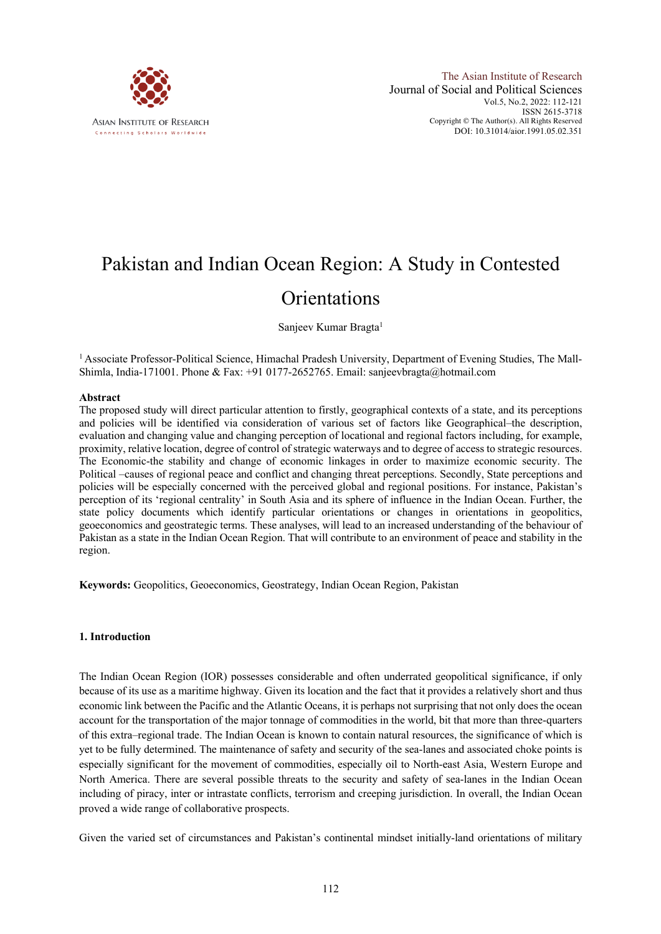

## Pakistan and Indian Ocean Region: A Study in Contested **Orientations**

Sanjeev Kumar Bragta<sup>1</sup>

<sup>1</sup> Associate Professor-Political Science, Himachal Pradesh University, Department of Evening Studies, The Mall-Shimla, India-171001. Phone & Fax: +91 0177-2652765. Email: sanjeevbragta@hotmail.com

#### **Abstract**

The proposed study will direct particular attention to firstly, geographical contexts of a state, and its perceptions and policies will be identified via consideration of various set of factors like Geographical–the description, evaluation and changing value and changing perception of locational and regional factors including, for example, proximity, relative location, degree of control of strategic waterways and to degree of access to strategic resources. The Economic-the stability and change of economic linkages in order to maximize economic security. The Political –causes of regional peace and conflict and changing threat perceptions. Secondly, State perceptions and policies will be especially concerned with the perceived global and regional positions. For instance, Pakistan's perception of its 'regional centrality' in South Asia and its sphere of influence in the Indian Ocean. Further, the state policy documents which identify particular orientations or changes in orientations in geopolitics, geoeconomics and geostrategic terms. These analyses, will lead to an increased understanding of the behaviour of Pakistan as a state in the Indian Ocean Region. That will contribute to an environment of peace and stability in the region.

**Keywords:** Geopolitics, Geoeconomics, Geostrategy, Indian Ocean Region, Pakistan

#### **1. Introduction**

The Indian Ocean Region (IOR) possesses considerable and often underrated geopolitical significance, if only because of its use as a maritime highway. Given its location and the fact that it provides a relatively short and thus economic link between the Pacific and the Atlantic Oceans, it is perhaps not surprising that not only does the ocean account for the transportation of the major tonnage of commodities in the world, bit that more than three-quarters of this extra–regional trade. The Indian Ocean is known to contain natural resources, the significance of which is yet to be fully determined. The maintenance of safety and security of the sea-lanes and associated choke points is especially significant for the movement of commodities, especially oil to North-east Asia, Western Europe and North America. There are several possible threats to the security and safety of sea-lanes in the Indian Ocean including of piracy, inter or intrastate conflicts, terrorism and creeping jurisdiction. In overall, the Indian Ocean proved a wide range of collaborative prospects.

Given the varied set of circumstances and Pakistan's continental mindset initially-land orientations of military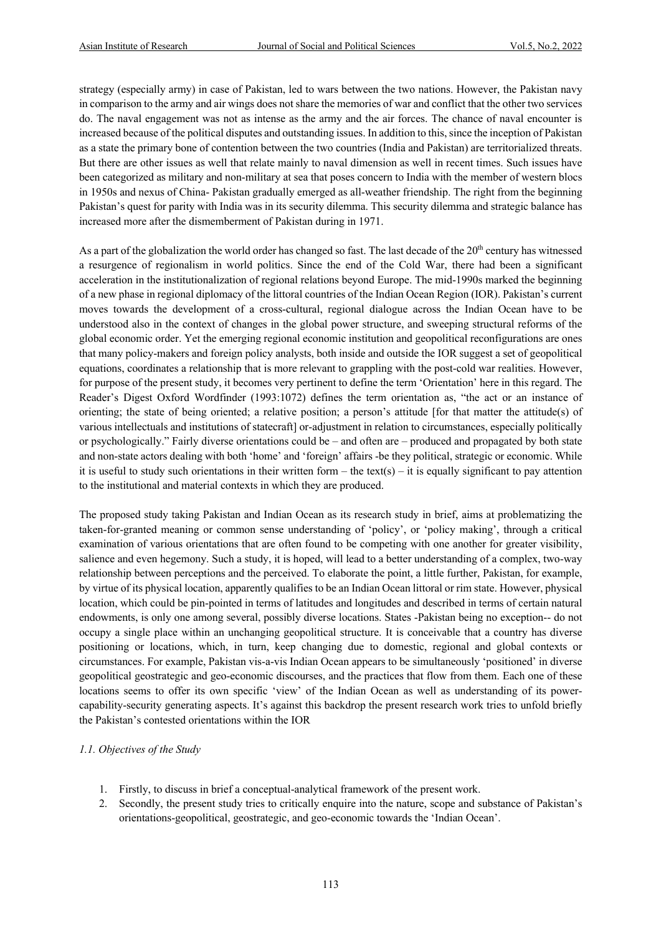strategy (especially army) in case of Pakistan, led to wars between the two nations. However, the Pakistan navy in comparison to the army and air wings does not share the memories of war and conflict that the other two services do. The naval engagement was not as intense as the army and the air forces. The chance of naval encounter is increased because of the political disputes and outstanding issues. In addition to this, since the inception of Pakistan as a state the primary bone of contention between the two countries (India and Pakistan) are territorialized threats. But there are other issues as well that relate mainly to naval dimension as well in recent times. Such issues have been categorized as military and non-military at sea that poses concern to India with the member of western blocs in 1950s and nexus of China- Pakistan gradually emerged as all-weather friendship. The right from the beginning Pakistan's quest for parity with India was in its security dilemma. This security dilemma and strategic balance has increased more after the dismemberment of Pakistan during in 1971.

As a part of the globalization the world order has changed so fast. The last decade of the  $20<sup>th</sup>$  century has witnessed a resurgence of regionalism in world politics. Since the end of the Cold War, there had been a significant acceleration in the institutionalization of regional relations beyond Europe. The mid-1990s marked the beginning of a new phase in regional diplomacy of the littoral countries of the Indian Ocean Region (IOR). Pakistan's current moves towards the development of a cross-cultural, regional dialogue across the Indian Ocean have to be understood also in the context of changes in the global power structure, and sweeping structural reforms of the global economic order. Yet the emerging regional economic institution and geopolitical reconfigurations are ones that many policy-makers and foreign policy analysts, both inside and outside the IOR suggest a set of geopolitical equations, coordinates a relationship that is more relevant to grappling with the post-cold war realities. However, for purpose of the present study, it becomes very pertinent to define the term 'Orientation' here in this regard. The Reader's Digest Oxford Wordfinder (1993:1072) defines the term orientation as, "the act or an instance of orienting; the state of being oriented; a relative position; a person's attitude [for that matter the attitude(s) of various intellectuals and institutions of statecraft] or-adjustment in relation to circumstances, especially politically or psychologically." Fairly diverse orientations could be – and often are – produced and propagated by both state and non-state actors dealing with both 'home' and 'foreign' affairs -be they political, strategic or economic. While it is useful to study such orientations in their written form – the text(s) – it is equally significant to pay attention to the institutional and material contexts in which they are produced.

The proposed study taking Pakistan and Indian Ocean as its research study in brief, aims at problematizing the taken-for-granted meaning or common sense understanding of 'policy', or 'policy making', through a critical examination of various orientations that are often found to be competing with one another for greater visibility, salience and even hegemony. Such a study, it is hoped, will lead to a better understanding of a complex, two-way relationship between perceptions and the perceived. To elaborate the point, a little further, Pakistan, for example, by virtue of its physical location, apparently qualifies to be an Indian Ocean littoral or rim state. However, physical location, which could be pin-pointed in terms of latitudes and longitudes and described in terms of certain natural endowments, is only one among several, possibly diverse locations. States -Pakistan being no exception-- do not occupy a single place within an unchanging geopolitical structure. It is conceivable that a country has diverse positioning or locations, which, in turn, keep changing due to domestic, regional and global contexts or circumstances. For example, Pakistan vis-a-vis Indian Ocean appears to be simultaneously 'positioned' in diverse geopolitical geostrategic and geo-economic discourses, and the practices that flow from them. Each one of these locations seems to offer its own specific 'view' of the Indian Ocean as well as understanding of its powercapability-security generating aspects. It's against this backdrop the present research work tries to unfold briefly the Pakistan's contested orientations within the IOR

#### *1.1. Objectives of the Study*

- 1. Firstly, to discuss in brief a conceptual-analytical framework of the present work.
- 2. Secondly, the present study tries to critically enquire into the nature, scope and substance of Pakistan's orientations-geopolitical, geostrategic, and geo-economic towards the 'Indian Ocean'.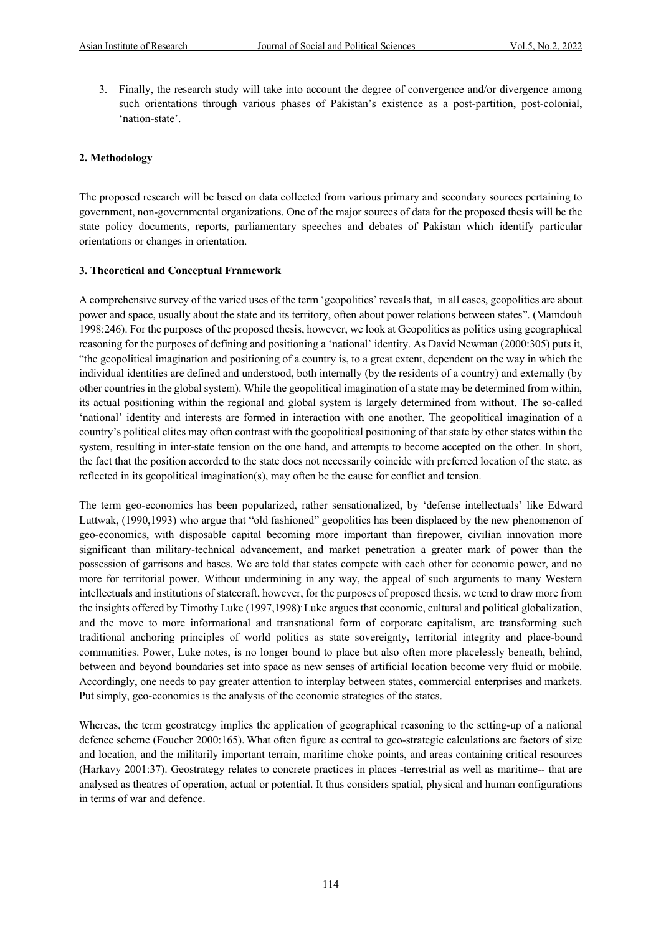3. Finally, the research study will take into account the degree of convergence and/or divergence among such orientations through various phases of Pakistan's existence as a post-partition, post-colonial, 'nation-state'.

#### **2. Methodology**

The proposed research will be based on data collected from various primary and secondary sources pertaining to government, non-governmental organizations. One of the major sources of data for the proposed thesis will be the state policy documents, reports, parliamentary speeches and debates of Pakistan which identify particular orientations or changes in orientation.

#### **3. Theoretical and Conceptual Framework**

A comprehensive survey of the varied uses of the term 'geopolitics' reveals that, - in all cases, geopolitics are about power and space, usually about the state and its territory, often about power relations between states". (Mamdouh 1998:246). For the purposes of the proposed thesis, however, we look at Geopolitics as politics using geographical reasoning for the purposes of defining and positioning a 'national' identity. As David Newman (2000:305) puts it, "the geopolitical imagination and positioning of a country is, to a great extent, dependent on the way in which the individual identities are defined and understood, both internally (by the residents of a country) and externally (by other countries in the global system). While the geopolitical imagination of a state may be determined from within, its actual positioning within the regional and global system is largely determined from without. The so-called 'national' identity and interests are formed in interaction with one another. The geopolitical imagination of a country's political elites may often contrast with the geopolitical positioning of that state by other states within the system, resulting in inter-state tension on the one hand, and attempts to become accepted on the other. In short, the fact that the position accorded to the state does not necessarily coincide with preferred location of the state, as reflected in its geopolitical imagination(s), may often be the cause for conflict and tension.

The term geo-economics has been popularized, rather sensationalized, by 'defense intellectuals' like Edward Luttwak, (1990,1993) who argue that "old fashioned" geopolitics has been displaced by the new phenomenon of geo-economics, with disposable capital becoming more important than firepower, civilian innovation more significant than military-technical advancement, and market penetration a greater mark of power than the possession of garrisons and bases. We are told that states compete with each other for economic power, and no more for territorial power. Without undermining in any way, the appeal of such arguments to many Western intellectuals and institutions of statecraft, however, for the purposes of proposed thesis, we tend to draw more from the insights offered by Timothy Luke (1997,1998) Luke argues that economic, cultural and political globalization, and the move to more informational and transnational form of corporate capitalism, are transforming such traditional anchoring principles of world politics as state sovereignty, territorial integrity and place-bound communities. Power, Luke notes, is no longer bound to place but also often more placelessly beneath, behind, between and beyond boundaries set into space as new senses of artificial location become very fluid or mobile. Accordingly, one needs to pay greater attention to interplay between states, commercial enterprises and markets. Put simply, geo-economics is the analysis of the economic strategies of the states.

Whereas, the term geostrategy implies the application of geographical reasoning to the setting-up of a national defence scheme (Foucher 2000:165). What often figure as central to geo-strategic calculations are factors of size and location, and the militarily important terrain, maritime choke points, and areas containing critical resources (Harkavy 2001:37). Geostrategy relates to concrete practices in places -terrestrial as well as maritime-- that are analysed as theatres of operation, actual or potential. It thus considers spatial, physical and human configurations in terms of war and defence.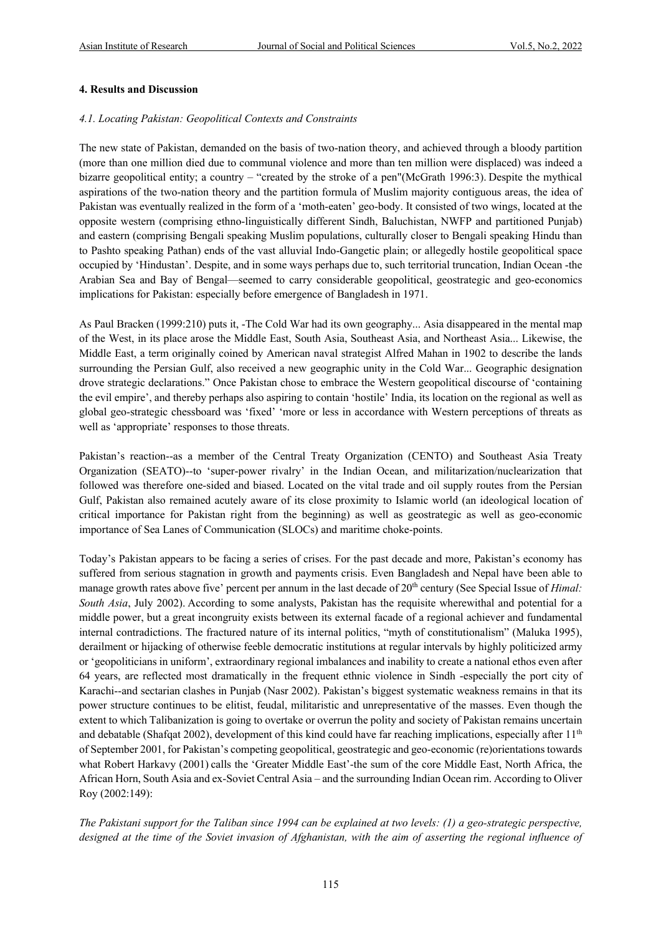#### **4. Results and Discussion**

#### *4.1. Locating Pakistan: Geopolitical Contexts and Constraints*

The new state of Pakistan, demanded on the basis of two-nation theory, and achieved through a bloody partition (more than one million died due to communal violence and more than ten million were displaced) was indeed a bizarre geopolitical entity; a country – "created by the stroke of a pen"(McGrath 1996:3). Despite the mythical aspirations of the two-nation theory and the partition formula of Muslim majority contiguous areas, the idea of Pakistan was eventually realized in the form of a 'moth-eaten' geo-body. It consisted of two wings, located at the opposite western (comprising ethno-linguistically different Sindh, Baluchistan, NWFP and partitioned Punjab) and eastern (comprising Bengali speaking Muslim populations, culturally closer to Bengali speaking Hindu than to Pashto speaking Pathan) ends of the vast alluvial Indo-Gangetic plain; or allegedly hostile geopolitical space occupied by 'Hindustan'. Despite, and in some ways perhaps due to, such territorial truncation, Indian Ocean -the Arabian Sea and Bay of Bengal—seemed to carry considerable geopolitical, geostrategic and geo-economics implications for Pakistan: especially before emergence of Bangladesh in 1971.

As Paul Bracken (1999:210) puts it, -The Cold War had its own geography... Asia disappeared in the mental map of the West, in its place arose the Middle East, South Asia, Southeast Asia, and Northeast Asia... Likewise, the Middle East, a term originally coined by American naval strategist Alfred Mahan in 1902 to describe the lands surrounding the Persian Gulf, also received a new geographic unity in the Cold War... Geographic designation drove strategic declarations." Once Pakistan chose to embrace the Western geopolitical discourse of 'containing the evil empire', and thereby perhaps also aspiring to contain 'hostile' India, its location on the regional as well as global geo-strategic chessboard was 'fixed' 'more or less in accordance with Western perceptions of threats as well as 'appropriate' responses to those threats.

Pakistan's reaction--as a member of the Central Treaty Organization (CENTO) and Southeast Asia Treaty Organization (SEATO)--to 'super-power rivalry' in the Indian Ocean, and militarization/nuclearization that followed was therefore one-sided and biased. Located on the vital trade and oil supply routes from the Persian Gulf, Pakistan also remained acutely aware of its close proximity to Islamic world (an ideological location of critical importance for Pakistan right from the beginning) as well as geostrategic as well as geo-economic importance of Sea Lanes of Communication (SLOCs) and maritime choke-points.

Today's Pakistan appears to be facing a series of crises. For the past decade and more, Pakistan's economy has suffered from serious stagnation in growth and payments crisis. Even Bangladesh and Nepal have been able to manage growth rates above five' percent per annum in the last decade of 20<sup>th</sup> century (See Special Issue of *Himal: South Asia*, July 2002). According to some analysts, Pakistan has the requisite wherewithal and potential for a middle power, but a great incongruity exists between its external facade of a regional achiever and fundamental internal contradictions. The fractured nature of its internal politics, "myth of constitutionalism" (Maluka 1995), derailment or hijacking of otherwise feeble democratic institutions at regular intervals by highly politicized army or 'geopoliticians in uniform', extraordinary regional imbalances and inability to create a national ethos even after 64 years, are reflected most dramatically in the frequent ethnic violence in Sindh -especially the port city of Karachi--and sectarian clashes in Punjab (Nasr 2002). Pakistan's biggest systematic weakness remains in that its power structure continues to be elitist, feudal, militaristic and unrepresentative of the masses. Even though the extent to which Talibanization is going to overtake or overrun the polity and society of Pakistan remains uncertain and debatable (Shafqat 2002), development of this kind could have far reaching implications, especially after  $11<sup>th</sup>$ of September 2001, for Pakistan's competing geopolitical, geostrategic and geo-economic (re)orientations towards what Robert Harkavy (2001) calls the 'Greater Middle East'-the sum of the core Middle East, North Africa, the African Horn, South Asia and ex-Soviet Central Asia – and the surrounding Indian Ocean rim. According to Oliver Roy (2002:149):

*The Pakistani support for the Taliban since 1994 can be explained at two levels: (1) a geo-strategic perspective,*  designed at the time of the Soviet invasion of Afghanistan, with the aim of asserting the regional influence of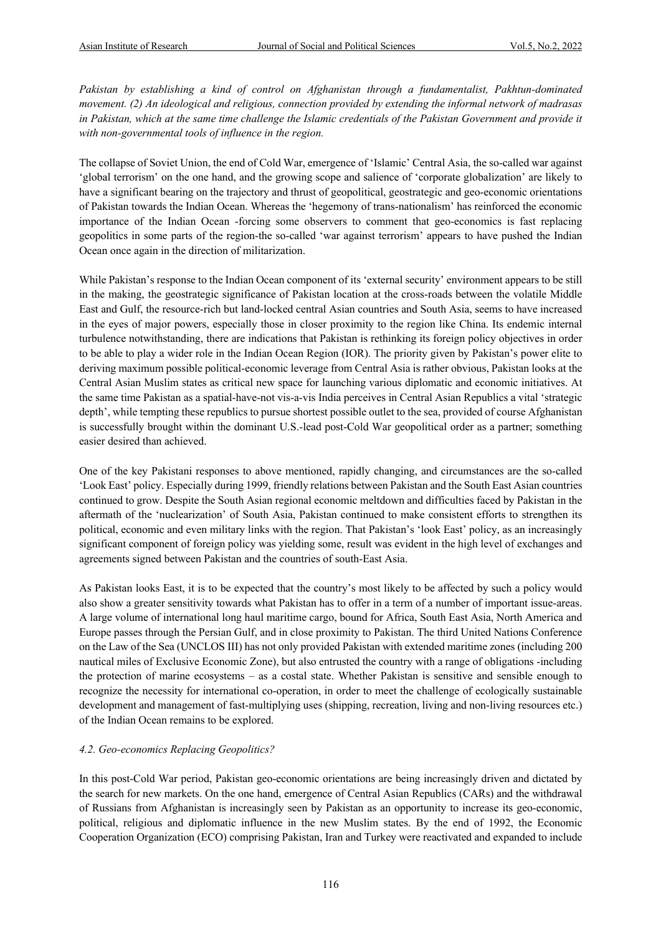*Pakistan by establishing a kind of control on Afghanistan through a fundamentalist, Pakhtun-dominated movement. (2) An ideological and religious, connection provided by extending the informal network of madrasas*  in Pakistan, which at the same time challenge the Islamic credentials of the Pakistan Government and provide it *with non-governmental tools of influence in the region.*

The collapse of Soviet Union, the end of Cold War, emergence of 'Islamic' Central Asia, the so-called war against 'global terrorism' on the one hand, and the growing scope and salience of 'corporate globalization' are likely to have a significant bearing on the trajectory and thrust of geopolitical, geostrategic and geo-economic orientations of Pakistan towards the Indian Ocean. Whereas the 'hegemony of trans-nationalism' has reinforced the economic importance of the Indian Ocean -forcing some observers to comment that geo-economics is fast replacing geopolitics in some parts of the region-the so-called 'war against terrorism' appears to have pushed the Indian Ocean once again in the direction of militarization.

While Pakistan's response to the Indian Ocean component of its 'external security' environment appears to be still in the making, the geostrategic significance of Pakistan location at the cross-roads between the volatile Middle East and Gulf, the resource-rich but land-locked central Asian countries and South Asia, seems to have increased in the eyes of major powers, especially those in closer proximity to the region like China. Its endemic internal turbulence notwithstanding, there are indications that Pakistan is rethinking its foreign policy objectives in order to be able to play a wider role in the Indian Ocean Region (IOR). The priority given by Pakistan's power elite to deriving maximum possible political-economic leverage from Central Asia is rather obvious, Pakistan looks at the Central Asian Muslim states as critical new space for launching various diplomatic and economic initiatives. At the same time Pakistan as a spatial-have-not vis-a-vis India perceives in Central Asian Republics a vital 'strategic depth', while tempting these republics to pursue shortest possible outlet to the sea, provided of course Afghanistan is successfully brought within the dominant U.S.-lead post-Cold War geopolitical order as a partner; something easier desired than achieved.

One of the key Pakistani responses to above mentioned, rapidly changing, and circumstances are the so-called 'Look East' policy. Especially during 1999, friendly relations between Pakistan and the South East Asian countries continued to grow. Despite the South Asian regional economic meltdown and difficulties faced by Pakistan in the aftermath of the 'nuclearization' of South Asia, Pakistan continued to make consistent efforts to strengthen its political, economic and even military links with the region. That Pakistan's 'look East' policy, as an increasingly significant component of foreign policy was yielding some, result was evident in the high level of exchanges and agreements signed between Pakistan and the countries of south-East Asia.

As Pakistan looks East, it is to be expected that the country's most likely to be affected by such a policy would also show a greater sensitivity towards what Pakistan has to offer in a term of a number of important issue-areas. A large volume of international long haul maritime cargo, bound for Africa, South East Asia, North America and Europe passes through the Persian Gulf, and in close proximity to Pakistan. The third United Nations Conference on the Law of the Sea (UNCLOS III) has not only provided Pakistan with extended maritime zones (including 200 nautical miles of Exclusive Economic Zone), but also entrusted the country with a range of obligations -including the protection of marine ecosystems – as a costal state. Whether Pakistan is sensitive and sensible enough to recognize the necessity for international co-operation, in order to meet the challenge of ecologically sustainable development and management of fast-multiplying uses (shipping, recreation, living and non-living resources etc.) of the Indian Ocean remains to be explored.

#### *4.2. Geo-economics Replacing Geopolitics?*

In this post-Cold War period, Pakistan geo-economic orientations are being increasingly driven and dictated by the search for new markets. On the one hand, emergence of Central Asian Republics (CARs) and the withdrawal of Russians from Afghanistan is increasingly seen by Pakistan as an opportunity to increase its geo-economic, political, religious and diplomatic influence in the new Muslim states. By the end of 1992, the Economic Cooperation Organization (ECO) comprising Pakistan, Iran and Turkey were reactivated and expanded to include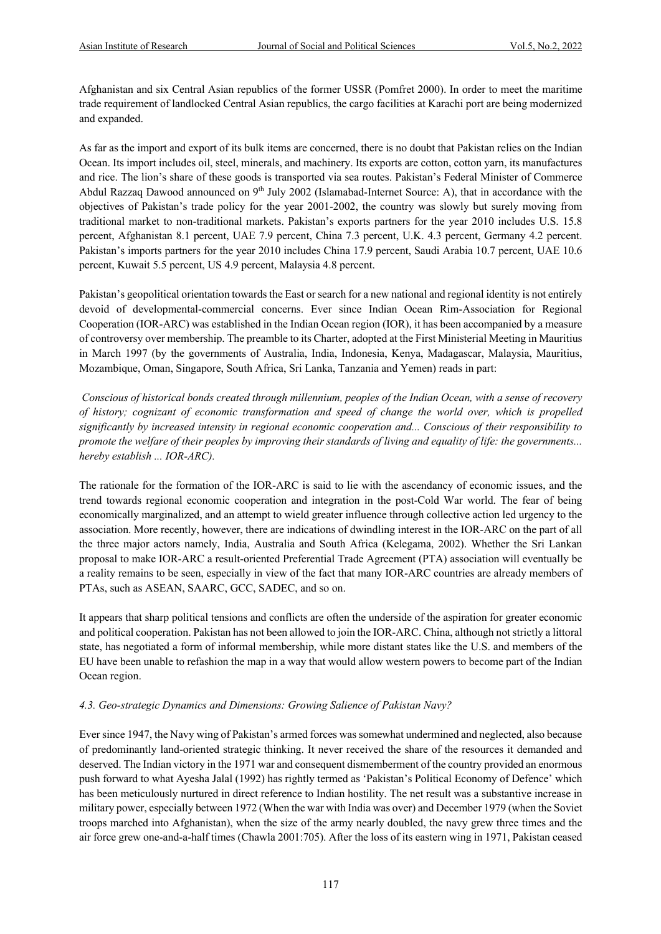Afghanistan and six Central Asian republics of the former USSR (Pomfret 2000). In order to meet the maritime trade requirement of landlocked Central Asian republics, the cargo facilities at Karachi port are being modernized and expanded.

As far as the import and export of its bulk items are concerned, there is no doubt that Pakistan relies on the Indian Ocean. Its import includes oil, steel, minerals, and machinery. Its exports are cotton, cotton yarn, its manufactures and rice. The lion's share of these goods is transported via sea routes. Pakistan's Federal Minister of Commerce Abdul Razzaq Dawood announced on  $9<sup>th</sup>$  July 2002 (Islamabad-Internet Source: A), that in accordance with the objectives of Pakistan's trade policy for the year 2001-2002, the country was slowly but surely moving from traditional market to non-traditional markets. Pakistan's exports partners for the year 2010 includes U.S. 15.8 percent, Afghanistan 8.1 percent, UAE 7.9 percent, China 7.3 percent, U.K. 4.3 percent, Germany 4.2 percent. Pakistan's imports partners for the year 2010 includes China 17.9 percent, Saudi Arabia 10.7 percent, UAE 10.6 percent, Kuwait 5.5 percent, US 4.9 percent, Malaysia 4.8 percent.

Pakistan's geopolitical orientation towards the East or search for a new national and regional identity is not entirely devoid of developmental-commercial concerns. Ever since Indian Ocean Rim-Association for Regional Cooperation (IOR-ARC) was established in the Indian Ocean region (IOR), it has been accompanied by a measure of controversy over membership. The preamble to its Charter, adopted at the First Ministerial Meeting in Mauritius in March 1997 (by the governments of Australia, India, Indonesia, Kenya, Madagascar, Malaysia, Mauritius, Mozambique, Oman, Singapore, South Africa, Sri Lanka, Tanzania and Yemen) reads in part:

*Conscious of historical bonds created through millennium, peoples of the Indian Ocean, with a sense of recovery of history; cognizant of economic transformation and speed of change the world over, which is propelled significantly by increased intensity in regional economic cooperation and... Conscious of their responsibility to promote the welfare of their peoples by improving their standards of living and equality of life: the governments... hereby establish ... IOR-ARC).*

The rationale for the formation of the IOR-ARC is said to lie with the ascendancy of economic issues, and the trend towards regional economic cooperation and integration in the post-Cold War world. The fear of being economically marginalized, and an attempt to wield greater influence through collective action led urgency to the association. More recently, however, there are indications of dwindling interest in the IOR-ARC on the part of all the three major actors namely, India, Australia and South Africa (Kelegama, 2002). Whether the Sri Lankan proposal to make IOR-ARC a result-oriented Preferential Trade Agreement (PTA) association will eventually be a reality remains to be seen, especially in view of the fact that many IOR-ARC countries are already members of PTAs, such as ASEAN, SAARC, GCC, SADEC, and so on.

It appears that sharp political tensions and conflicts are often the underside of the aspiration for greater economic and political cooperation. Pakistan has not been allowed to join the IOR-ARC. China, although not strictly a littoral state, has negotiated a form of informal membership, while more distant states like the U.S. and members of the EU have been unable to refashion the map in a way that would allow western powers to become part of the Indian Ocean region.

#### *4.3. Geo-strategic Dynamics and Dimensions: Growing Salience of Pakistan Navy?*

Ever since 1947, the Navy wing of Pakistan's armed forces was somewhat undermined and neglected, also because of predominantly land-oriented strategic thinking. It never received the share of the resources it demanded and deserved. The Indian victory in the 1971 war and consequent dismemberment of the country provided an enormous push forward to what Ayesha Jalal (1992) has rightly termed as 'Pakistan's Political Economy of Defence' which has been meticulously nurtured in direct reference to Indian hostility. The net result was a substantive increase in military power, especially between 1972 (When the war with India was over) and December 1979 (when the Soviet troops marched into Afghanistan), when the size of the army nearly doubled, the navy grew three times and the air force grew one-and-a-half times (Chawla 2001:705). After the loss of its eastern wing in 1971, Pakistan ceased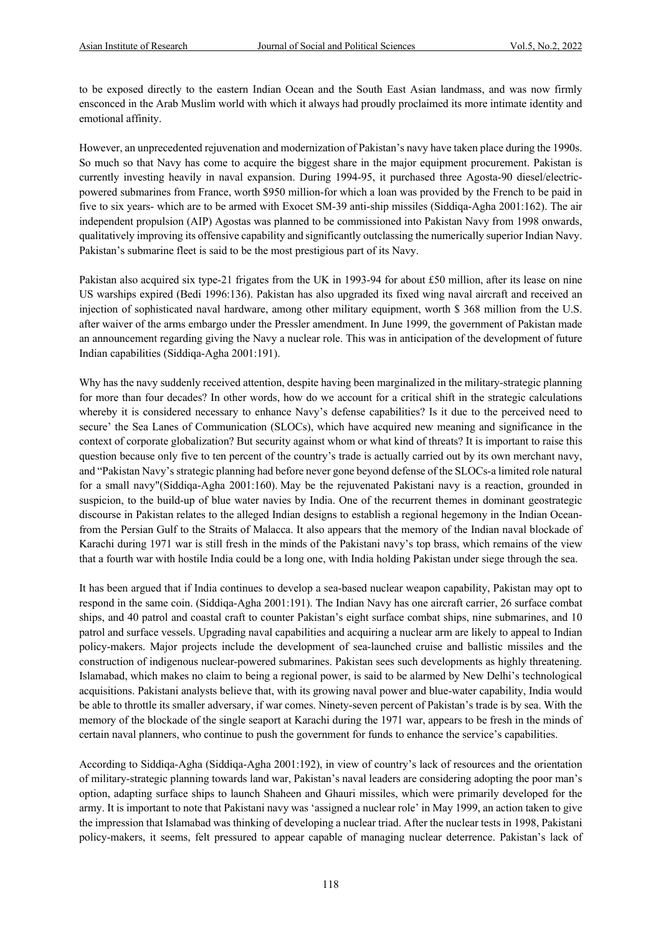to be exposed directly to the eastern Indian Ocean and the South East Asian landmass, and was now firmly ensconced in the Arab Muslim world with which it always had proudly proclaimed its more intimate identity and emotional affinity.

However, an unprecedented rejuvenation and modernization of Pakistan's navy have taken place during the 1990s. So much so that Navy has come to acquire the biggest share in the major equipment procurement. Pakistan is currently investing heavily in naval expansion. During 1994-95, it purchased three Agosta-90 diesel/electricpowered submarines from France, worth \$950 million-for which a loan was provided by the French to be paid in five to six years- which are to be armed with Exocet SM-39 anti-ship missiles (Siddiqa-Agha 2001:162). The air independent propulsion (AIP) Agostas was planned to be commissioned into Pakistan Navy from 1998 onwards, qualitatively improving its offensive capability and significantly outclassing the numerically superior Indian Navy. Pakistan's submarine fleet is said to be the most prestigious part of its Navy.

Pakistan also acquired six type-21 frigates from the UK in 1993-94 for about £50 million, after its lease on nine US warships expired (Bedi 1996:136). Pakistan has also upgraded its fixed wing naval aircraft and received an injection of sophisticated naval hardware, among other military equipment, worth \$ 368 million from the U.S. after waiver of the arms embargo under the Pressler amendment. In June 1999, the government of Pakistan made an announcement regarding giving the Navy a nuclear role. This was in anticipation of the development of future Indian capabilities (Siddiqa-Agha 2001:191).

Why has the navy suddenly received attention, despite having been marginalized in the military-strategic planning for more than four decades? In other words, how do we account for a critical shift in the strategic calculations whereby it is considered necessary to enhance Navy's defense capabilities? Is it due to the perceived need to secure' the Sea Lanes of Communication (SLOCs), which have acquired new meaning and significance in the context of corporate globalization? But security against whom or what kind of threats? It is important to raise this question because only five to ten percent of the country's trade is actually carried out by its own merchant navy, and "Pakistan Navy's strategic planning had before never gone beyond defense of the SLOCs-a limited role natural for a small navy"(Siddiqa-Agha 2001:160). May be the rejuvenated Pakistani navy is a reaction, grounded in suspicion, to the build-up of blue water navies by India. One of the recurrent themes in dominant geostrategic discourse in Pakistan relates to the alleged Indian designs to establish a regional hegemony in the Indian Oceanfrom the Persian Gulf to the Straits of Malacca. It also appears that the memory of the Indian naval blockade of Karachi during 1971 war is still fresh in the minds of the Pakistani navy's top brass, which remains of the view that a fourth war with hostile India could be a long one, with India holding Pakistan under siege through the sea.

It has been argued that if India continues to develop a sea-based nuclear weapon capability, Pakistan may opt to respond in the same coin. (Siddiqa-Agha 2001:191). The Indian Navy has one aircraft carrier, 26 surface combat ships, and 40 patrol and coastal craft to counter Pakistan's eight surface combat ships, nine submarines, and 10 patrol and surface vessels. Upgrading naval capabilities and acquiring a nuclear arm are likely to appeal to Indian policy-makers. Major projects include the development of sea-launched cruise and ballistic missiles and the construction of indigenous nuclear-powered submarines. Pakistan sees such developments as highly threatening. Islamabad, which makes no claim to being a regional power, is said to be alarmed by New Delhi's technological acquisitions. Pakistani analysts believe that, with its growing naval power and blue-water capability, India would be able to throttle its smaller adversary, if war comes. Ninety-seven percent of Pakistan's trade is by sea. With the memory of the blockade of the single seaport at Karachi during the 1971 war, appears to be fresh in the minds of certain naval planners, who continue to push the government for funds to enhance the service's capabilities.

According to Siddiqa-Agha (Siddiqa-Agha 2001:192), in view of country's lack of resources and the orientation of military-strategic planning towards land war, Pakistan's naval leaders are considering adopting the poor man's option, adapting surface ships to launch Shaheen and Ghauri missiles, which were primarily developed for the army. It is important to note that Pakistani navy was 'assigned a nuclear role' in May 1999, an action taken to give the impression that Islamabad was thinking of developing a nuclear triad. After the nuclear tests in 1998, Pakistani policy-makers, it seems, felt pressured to appear capable of managing nuclear deterrence. Pakistan's lack of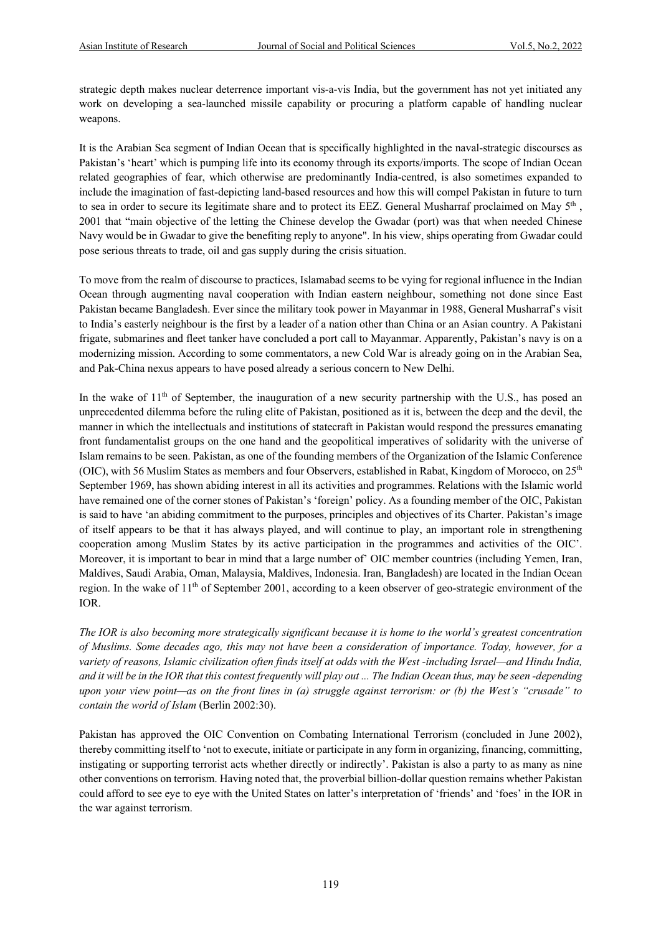strategic depth makes nuclear deterrence important vis-a-vis India, but the government has not yet initiated any work on developing a sea-launched missile capability or procuring a platform capable of handling nuclear weapons.

It is the Arabian Sea segment of Indian Ocean that is specifically highlighted in the naval-strategic discourses as Pakistan's 'heart' which is pumping life into its economy through its exports/imports. The scope of Indian Ocean related geographies of fear, which otherwise are predominantly India-centred, is also sometimes expanded to include the imagination of fast-depicting land-based resources and how this will compel Pakistan in future to turn to sea in order to secure its legitimate share and to protect its EEZ. General Musharraf proclaimed on May 5<sup>th</sup>, 2001 that "main objective of the letting the Chinese develop the Gwadar (port) was that when needed Chinese Navy would be in Gwadar to give the benefiting reply to anyone". In his view, ships operating from Gwadar could pose serious threats to trade, oil and gas supply during the crisis situation.

To move from the realm of discourse to practices, Islamabad seems to be vying for regional influence in the Indian Ocean through augmenting naval cooperation with Indian eastern neighbour, something not done since East Pakistan became Bangladesh. Ever since the military took power in Mayanmar in 1988, General Musharraf's visit to India's easterly neighbour is the first by a leader of a nation other than China or an Asian country. A Pakistani frigate, submarines and fleet tanker have concluded a port call to Mayanmar. Apparently, Pakistan's navy is on a modernizing mission. According to some commentators, a new Cold War is already going on in the Arabian Sea, and Pak-China nexus appears to have posed already a serious concern to New Delhi.

In the wake of  $11<sup>th</sup>$  of September, the inauguration of a new security partnership with the U.S., has posed an unprecedented dilemma before the ruling elite of Pakistan, positioned as it is, between the deep and the devil, the manner in which the intellectuals and institutions of statecraft in Pakistan would respond the pressures emanating front fundamentalist groups on the one hand and the geopolitical imperatives of solidarity with the universe of Islam remains to be seen. Pakistan, as one of the founding members of the Organization of the Islamic Conference (OIC), with 56 Muslim States as members and four Observers, established in Rabat, Kingdom of Morocco, on 25<sup>th</sup> September 1969, has shown abiding interest in all its activities and programmes. Relations with the Islamic world have remained one of the corner stones of Pakistan's 'foreign' policy. As a founding member of the OIC, Pakistan is said to have 'an abiding commitment to the purposes, principles and objectives of its Charter. Pakistan's image of itself appears to be that it has always played, and will continue to play, an important role in strengthening cooperation among Muslim States by its active participation in the programmes and activities of the OIC'. Moreover, it is important to bear in mind that a large number of' OIC member countries (including Yemen, Iran, Maldives, Saudi Arabia, Oman, Malaysia, Maldives, Indonesia. Iran, Bangladesh) are located in the Indian Ocean region. In the wake of 11th of September 2001, according to a keen observer of geo-strategic environment of the IOR.

*The IOR is also becoming more strategically significant because it is home to the world's greatest concentration of Muslims. Some decades ago, this may not have been a consideration of importance. Today, however, for a variety of reasons, Islamic civilization often finds itself at odds with the West -including Israel—and Hindu India, and it will be in the IOR that this contest frequently will play out ... The Indian Ocean thus, may be seen -depending upon your view point—as on the front lines in (a) struggle against terrorism: or (b) the West's "crusade" to contain the world of Islam* (Berlin 2002:30).

Pakistan has approved the OIC Convention on Combating International Terrorism (concluded in June 2002), thereby committing itself to 'not to execute, initiate or participate in any form in organizing, financing, committing, instigating or supporting terrorist acts whether directly or indirectly'. Pakistan is also a party to as many as nine other conventions on terrorism. Having noted that, the proverbial billion-dollar question remains whether Pakistan could afford to see eye to eye with the United States on latter's interpretation of 'friends' and 'foes' in the IOR in the war against terrorism.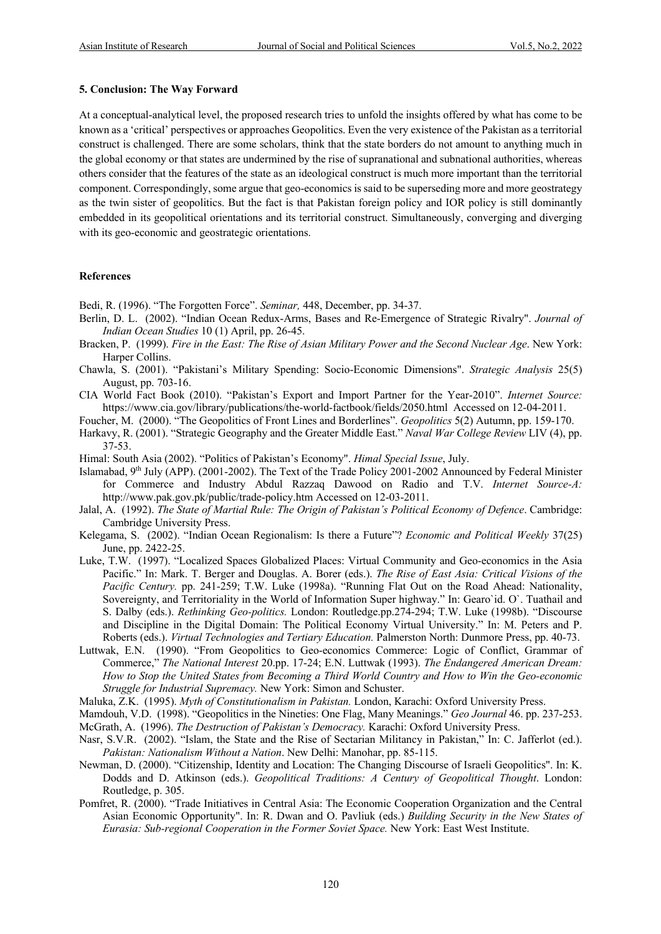#### **5. Conclusion: The Way Forward**

At a conceptual-analytical level, the proposed research tries to unfold the insights offered by what has come to be known as a 'critical' perspectives or approaches Geopolitics. Even the very existence of the Pakistan as a territorial construct is challenged. There are some scholars, think that the state borders do not amount to anything much in the global economy or that states are undermined by the rise of supranational and subnational authorities, whereas others consider that the features of the state as an ideological construct is much more important than the territorial component. Correspondingly, some argue that geo-economics is said to be superseding more and more geostrategy as the twin sister of geopolitics. But the fact is that Pakistan foreign policy and IOR policy is still dominantly embedded in its geopolitical orientations and its territorial construct. Simultaneously, converging and diverging with its geo-economic and geostrategic orientations.

#### **References**

Bedi, R. (1996). "The Forgotten Force". *Seminar,* 448, December, pp. 34-37.

- Berlin, D. L. (2002). "Indian Ocean Redux-Arms, Bases and Re-Emergence of Strategic Rivalry". *Journal of Indian Ocean Studies* 10 (1) April, pp. 26-45.
- Bracken, P. (1999). *Fire in the East: The Rise of Asian Military Power and the Second Nuclear Age*. New York: Harper Collins.
- Chawla, S. (2001). "Pakistani's Military Spending: Socio-Economic Dimensions". *Strategic Analysis* 25(5) August, pp. 703-16.

CIA World Fact Book (2010). "Pakistan's Export and Import Partner for the Year-2010". *Internet Source:* https://www.cia.gov/library/publications/the-world-factbook/fields/2050.html Accessed on 12-04-2011.

Foucher, M. (2000). "The Geopolitics of Front Lines and Borderlines". *Geopolitics* 5(2) Autumn, pp. 159-170.

- Harkavy, R. (2001). "Strategic Geography and the Greater Middle East." *Naval War College Review* LIV (4), pp. 37-53.
- Himal: South Asia (2002). "Politics of Pakistan's Economy". *Himal Special Issue*, July.
- Islamabad, 9th July (APP). (2001-2002). The Text of the Trade Policy 2001-2002 Announced by Federal Minister for Commerce and Industry Abdul Razzaq Dawood on Radio and T.V. *Internet Source-A:* http://www.pak.gov.pk/public/trade-policy.htm Accessed on 12-03-2011.
- Jalal, A. (1992). *The State of Martial Rule: The Origin of Pakistan's Political Economy of Defence*. Cambridge: Cambridge University Press.
- Kelegama, S. (2002). "Indian Ocean Regionalism: Is there a Future"? *Economic and Political Weekly* 37(25) June, pp. 2422-25.
- Luke, T.W. (1997). "Localized Spaces Globalized Places: Virtual Community and Geo-economics in the Asia Pacific." In: Mark. T. Berger and Douglas. A. Borer (eds.). *The Rise of East Asia: Critical Visions of the Pacific Century.* pp. 241-259; T.W. Luke (1998a). "Running Flat Out on the Road Ahead: Nationality, Sovereignty, and Territoriality in the World of Information Super highway." In: Gearo`id. O`. Tuathail and S. Dalby (eds.). *Rethinking Geo-politics.* London: Routledge.pp.274-294; T.W. Luke (1998b). "Discourse and Discipline in the Digital Domain: The Political Economy Virtual University." In: M. Peters and P. Roberts (eds.). *Virtual Technologies and Tertiary Education.* Palmerston North: Dunmore Press, pp. 40-73.
- Luttwak, E.N. (1990). "From Geopolitics to Geo-economics Commerce: Logic of Conflict, Grammar of Commerce," *The National Interest* 20.pp. 17-24; E.N. Luttwak (1993). *The Endangered American Dream: How to Stop the United States from Becoming a Third World Country and How to Win the Geo-economic Struggle for Industrial Supremacy.* New York: Simon and Schuster.
- Maluka, Z.K. (1995). *Myth of Constitutionalism in Pakistan.* London, Karachi: Oxford University Press.
- Mamdouh, V.D. (1998). "Geopolitics in the Nineties: One Flag, Many Meanings." *Geo Journal* 46. pp. 237-253.
- McGrath, A. (1996). *The Destruction of Pakistan's Democracy.* Karachi: Oxford University Press.
- Nasr, S.V.R. (2002). "Islam, the State and the Rise of Sectarian Militancy in Pakistan," In: C. Jafferlot (ed.). *Pakistan: Nationalism Without a Nation*. New Delhi: Manohar, pp. 85-115.
- Newman, D. (2000). "Citizenship, Identity and Location: The Changing Discourse of Israeli Geopolitics". In: K. Dodds and D. Atkinson (eds.). *Geopolitical Traditions: A Century of Geopolitical Thought*. London: Routledge, p. 305.
- Pomfret, R. (2000). "Trade Initiatives in Central Asia: The Economic Cooperation Organization and the Central Asian Economic Opportunity". In: R. Dwan and O. Pavliuk (eds.) *Building Security in the New States of Eurasia: Sub-regional Cooperation in the Former Soviet Space.* New York: East West Institute.